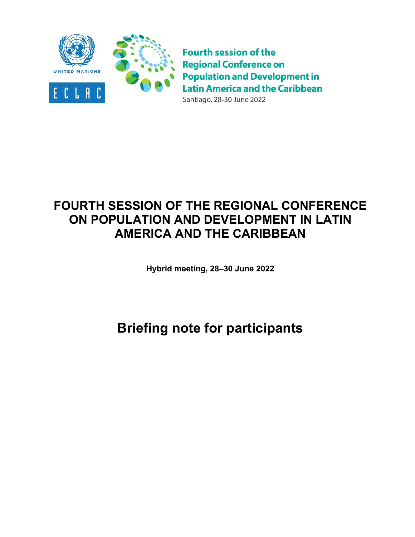

**Fourth session of the Regional Conference on Population and Development in Latin America and the Caribbean** Santiago, 28-30 June 2022

# **FOURTH SESSION OF THE REGIONAL CONFERENCE ON POPULATION AND DEVELOPMENT IN LATIN AMERICA AND THE CARIBBEAN**

**Hybrid meeting, 28–30 June 2022**

# **Briefing note for participants**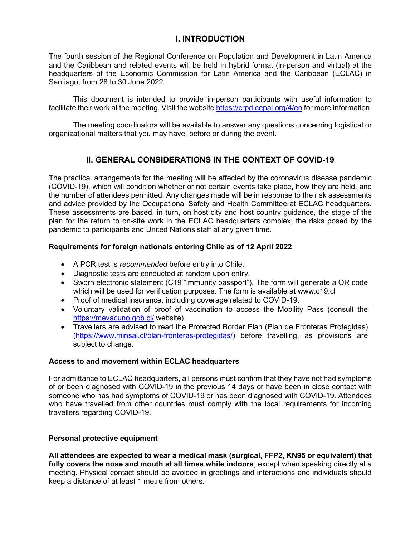# **I. INTRODUCTION**

The fourth session of the Regional Conference on Population and Development in Latin America and the Caribbean and related events will be held in hybrid format (in-person and virtual) at the headquarters of the Economic Commission for Latin America and the Caribbean (ECLAC) in Santiago, from 28 to 30 June 2022.

This document is intended to provide in-person participants with useful information to facilitate their work at the meeting. Visit the website<https://crpd.cepal.org/4/en> for more information.

The meeting coordinators will be available to answer any questions concerning logistical or organizational matters that you may have, before or during the event.

# **II. GENERAL CONSIDERATIONS IN THE CONTEXT OF COVID-19**

The practical arrangements for the meeting will be affected by the coronavirus disease pandemic (COVID-19), which will condition whether or not certain events take place, how they are held, and the number of attendees permitted. Any changes made will be in response to the risk assessments and advice provided by the Occupational Safety and Health Committee at ECLAC headquarters. These assessments are based, in turn, on host city and host country guidance, the stage of the plan for the return to on-site work in the ECLAC headquarters complex, the risks posed by the pandemic to participants and United Nations staff at any given time.

#### **Requirements for foreign nationals entering Chile as of 12 April 2022**

- A PCR test is *recommended* before entry into Chile.
- Diagnostic tests are conducted at random upon entry.
- Sworn electronic statement (C19 "immunity passport"). The form will generate a QR code which will be used for verification purposes. The form is available at www.c19.cl
- Proof of medical insurance, including coverage related to COVID-19.
- Voluntary validation of proof of vaccination to access the Mobility Pass (consult the <https://mevacuno.gob.cl/> website).
- Travellers are advised to read the Protected Border Plan (Plan de Fronteras Protegidas) [\(https://www.minsal.cl/plan-fronteras-protegidas/\)](https://www.minsal.cl/plan-fronteras-protegidas/) before travelling, as provisions are subject to change.

#### **Access to and movement within ECLAC headquarters**

For admittance to ECLAC headquarters, all persons must confirm that they have not had symptoms of or been diagnosed with COVID-19 in the previous 14 days or have been in close contact with someone who has had symptoms of COVID-19 or has been diagnosed with COVID-19. Attendees who have travelled from other countries must comply with the local requirements for incoming travellers regarding COVID-19.

#### **Personal protective equipment**

**All attendees are expected to wear a medical mask (surgical, FFP2, KN95 or equivalent) that fully covers the nose and mouth at all times while indoors**, except when speaking directly at a meeting. Physical contact should be avoided in greetings and interactions and individuals should keep a distance of at least 1 metre from others.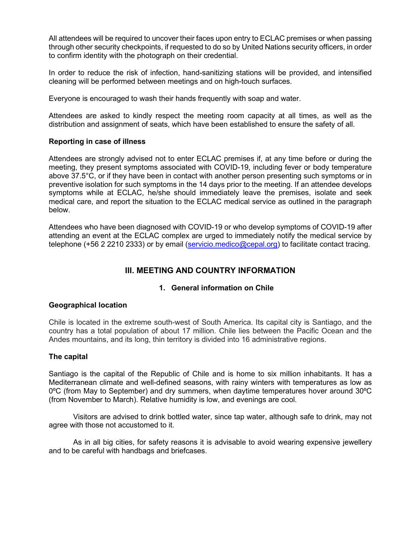All attendees will be required to uncover their faces upon entry to ECLAC premises or when passing through other security checkpoints, if requested to do so by United Nations security officers, in order to confirm identity with the photograph on their credential.

In order to reduce the risk of infection, hand-sanitizing stations will be provided, and intensified cleaning will be performed between meetings and on high-touch surfaces.

Everyone is encouraged to wash their hands frequently with soap and water.

Attendees are asked to kindly respect the meeting room capacity at all times, as well as the distribution and assignment of seats, which have been established to ensure the safety of all.

#### **Reporting in case of illness**

Attendees are strongly advised not to enter ECLAC premises if, at any time before or during the meeting, they present symptoms associated with COVID-19, including fever or body temperature above 37.5°C, or if they have been in contact with another person presenting such symptoms or in preventive isolation for such symptoms in the 14 days prior to the meeting. If an attendee develops symptoms while at ECLAC, he/she should immediately leave the premises, isolate and seek medical care, and report the situation to the ECLAC medical service as outlined in the paragraph below.

Attendees who have been diagnosed with COVID-19 or who develop symptoms of COVID-19 after attending an event at the ECLAC complex are urged to immediately notify the medical service by telephone (+56 2 2210 2333) or by email [\(servicio.medico@cepal.org\)](mailto:servicio.medico@cepal.org) to facilitate contact tracing.

# **III. MEETING AND COUNTRY INFORMATION**

#### **1. General information on Chile**

#### **Geographical location**

Chile is located in the extreme south-west of South America. Its capital city is Santiago, and the country has a total population of about 17 million. Chile lies between the Pacific Ocean and the Andes mountains, and its long, thin territory is divided into 16 administrative regions.

#### **The capital**

Santiago is the capital of the Republic of Chile and is home to six million inhabitants. It has a Mediterranean climate and well-defined seasons, with rainy winters with temperatures as low as 0ºC (from May to September) and dry summers, when daytime temperatures hover around 30ºC (from November to March). Relative humidity is low, and evenings are cool.

Visitors are advised to drink bottled water, since tap water, although safe to drink, may not agree with those not accustomed to it.

As in all big cities, for safety reasons it is advisable to avoid wearing expensive jewellery and to be careful with handbags and briefcases.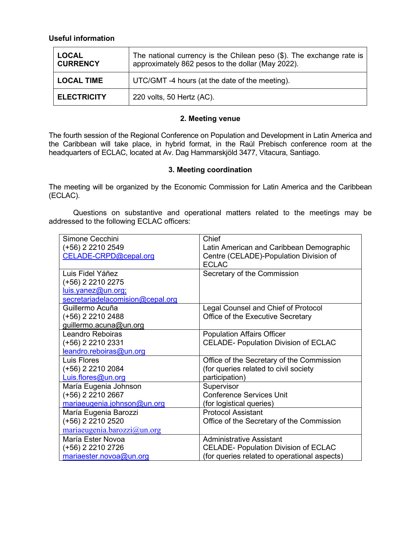### **Useful information**

| <b>LOCAL</b><br><b>CURRENCY</b> | The national currency is the Chilean peso (\$). The exchange rate is<br>approximately 862 pesos to the dollar (May 2022). |
|---------------------------------|---------------------------------------------------------------------------------------------------------------------------|
| <b>LOCAL TIME</b>               | UTC/GMT -4 hours (at the date of the meeting).                                                                            |
| <b>ELECTRICITY</b>              | 220 volts, 50 Hertz (AC).                                                                                                 |

#### **2. Meeting venue**

The fourth session of the Regional Conference on Population and Development in Latin America and the Caribbean will take place, in hybrid format, in the Raúl Prebisch conference room at the headquarters of ECLAC, located at Av. Dag Hammarskjöld 3477, Vitacura, Santiago.

#### **3. Meeting coordination**

The meeting will be organized by the Economic Commission for Latin America and the Caribbean (ECLAC).

Questions on substantive and operational matters related to the meetings may be addressed to the following ECLAC officers:

| Simone Cecchini                  | Chief                                        |  |  |  |  |
|----------------------------------|----------------------------------------------|--|--|--|--|
| (+56) 2 2210 2549                | Latin American and Caribbean Demographic     |  |  |  |  |
| CELADE-CRPD@cepal.org            | Centre (CELADE)-Population Division of       |  |  |  |  |
|                                  | <b>ECLAC</b>                                 |  |  |  |  |
| Luis Fidel Yáñez                 | Secretary of the Commission                  |  |  |  |  |
| (+56) 2 2210 2275                |                                              |  |  |  |  |
| luis.yanez@un.org;               |                                              |  |  |  |  |
| secretariadelacomision@cepal.org |                                              |  |  |  |  |
| Guillermo Acuña                  | Legal Counsel and Chief of Protocol          |  |  |  |  |
| $(+56)$ 2 2210 2488              | Office of the Executive Secretary            |  |  |  |  |
| guillermo.acuna@un.org           |                                              |  |  |  |  |
| <b>Leandro Reboiras</b>          | <b>Population Affairs Officer</b>            |  |  |  |  |
| (+56) 2 2210 2331                | <b>CELADE- Population Division of ECLAC</b>  |  |  |  |  |
| leandro.reboiras@un.org          |                                              |  |  |  |  |
| Luis Flores                      | Office of the Secretary of the Commission    |  |  |  |  |
| $(+56)$ 2 2210 2084              | (for queries related to civil society        |  |  |  |  |
| Luis.flores@un.org               | participation)                               |  |  |  |  |
| María Eugenia Johnson            | Supervisor                                   |  |  |  |  |
| (+56) 2 2210 2667                | <b>Conference Services Unit</b>              |  |  |  |  |
| mariaeugenia.johnson@un.org      | (for logistical queries)                     |  |  |  |  |
| María Eugenia Barozzi            | <b>Protocol Assistant</b>                    |  |  |  |  |
| (+56) 2 2210 2520                | Office of the Secretary of the Commission    |  |  |  |  |
| mariaeugenia.barozzi@un.org      |                                              |  |  |  |  |
| María Ester Novoa                | <b>Administrative Assistant</b>              |  |  |  |  |
| (+56) 2 2210 2726                | <b>CELADE- Population Division of ECLAC</b>  |  |  |  |  |
| mariaester.novoa@un.org          | (for queries related to operational aspects) |  |  |  |  |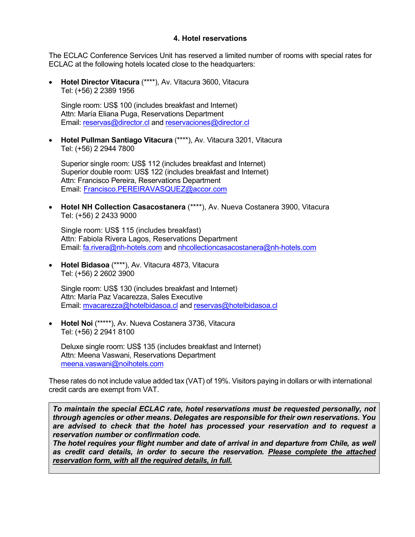#### **4. Hotel reservations**

The ECLAC Conference Services Unit has reserved a limited number of rooms with special rates for ECLAC at the following hotels located close to the headquarters:

• **Hotel Director Vitacura** (\*\*\*\*), Av. Vitacura 3600, Vitacura Tel: (+56) 2 2389 1956

Single room: US\$ 100 (includes breakfast and Internet) Attn: María Eliana Puga, Reservations Department Email: [reservas@director.cl](mailto:reservas@director.cl) and [reservaciones@director.cl](mailto:reservaciones@director.cl)

• **Hotel Pullman Santiago Vitacura** (\*\*\*\*), Av. Vitacura 3201, Vitacura Tel: (+56) 2 2944 7800

Superior single room: US\$ 112 (includes breakfast and Internet) Superior double room: US\$ 122 (includes breakfast and Internet) Attn: Francisco Pereira, Reservations Department Email: [Francisco.PEREIRAVASQUEZ@accor.com](mailto:Francisco.PEREIRAVASQUEZ@accor.com)

• **Hotel NH Collection Casacostanera** (\*\*\*\*), Av. Nueva Costanera 3900, Vitacura Tel: (+56) 2 2433 9000

Single room: US\$ 115 (includes breakfast) Attn: Fabiola Rivera Lagos, Reservations Department Email: [fa.rivera@nh-hotels.com](mailto:fa.rivera@nh-hotels.com) and nhcollectioncasacostanera@nh-hotels.com

• **Hotel Bidasoa** (\*\*\*\*), Av. Vitacura 4873, Vitacura Tel: (+56) 2 2602 3900

Single room: US\$ 130 (includes breakfast and Internet) Attn: María Paz Vacarezza, Sales Executive Email: [mvacarezza@hotelbidasoa.cl](mailto:mvacarezza@hotelbidasoa.cl) and reservas@hotelbidasoa.cl

• **Hotel Noi** (\*\*\*\*\*), Av. Nueva Costanera 3736, Vitacura Tel: (+56) 2 2941 8100

Deluxe single room: US\$ 135 (includes breakfast and Internet) Attn: Meena Vaswani, Reservations Department [meena.vaswani@noihotels.com](mailto:meena.vaswani@noihotels.com) 

These rates do not include value added tax (VAT) of 19%. Visitors paying in dollars or with international credit cards are exempt from VAT.

*To maintain the special ECLAC rate, hotel reservations must be requested personally, not through agencies or other means. Delegates are responsible for their own reservations. You are advised to check that the hotel has processed your reservation and to request a reservation number or confirmation code.*

*The hotel requires your flight number and date of arrival in and departure from Chile, as well as credit card details, in order to secure the reservation. Please complete the attached reservation form, with all the required details, in full.*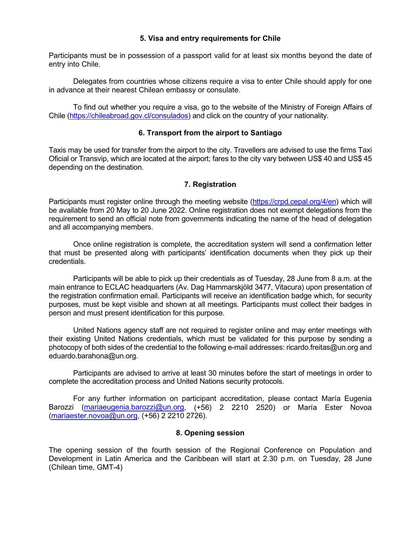#### **5. Visa and entry requirements for Chile**

Participants must be in possession of a passport valid for at least six months beyond the date of entry into Chile.

Delegates from countries whose citizens require a visa to enter Chile should apply for one in advance at their nearest Chilean embassy or consulate.

To find out whether you require a visa, go to the website of the Ministry of Foreign Affairs of Chile [\(https://chileabroad.gov.cl/consulados\)](https://chileabroad.gov.cl/consulados) and click on the country of your nationality.

#### **6. Transport from the airport to Santiago**

Taxis may be used for transfer from the airport to the city. Travellers are advised to use the firms Taxi Oficial or Transvip, which are located at the airport; fares to the city vary between US\$ 40 and US\$ 45 depending on the destination.

#### **7. Registration**

Participants must register online through the meeting website [\(https://crpd.cepal.org/4/en\)](https://crpd.cepal.org/4/en) which will be available from 20 May to 20 June 2022. Online registration does not exempt delegations from the requirement to send an official note from governments indicating the name of the head of delegation and all accompanying members.

Once online registration is complete, the accreditation system will send a confirmation letter that must be presented along with participants' identification documents when they pick up their credentials.

Participants will be able to pick up their credentials as of Tuesday, 28 June from 8 a.m. at the main entrance to ECLAC headquarters (Av. Dag Hammarskjöld 3477, Vitacura) upon presentation of the registration confirmation email. Participants will receive an identification badge which, for security purposes, must be kept visible and shown at all meetings. Participants must collect their badges in person and must present identification for this purpose.

United Nations agency staff are not required to register online and may enter meetings with their existing United Nations credentials, which must be validated for this purpose by sending a photocopy of both sides of the credential to the following e-mail addresses: ricardo.freitas@un.org and eduardo.barahona@un.org.

Participants are advised to arrive at least 30 minutes before the start of meetings in order to complete the accreditation process and United Nations security protocols.

For any further information on participant accreditation, please contact María Eugenia Barozzi [\(mariaeugenia.barozzi@un.org,](mailto:mariaeugenia.barozzi@un.org) (+56) 2 2210 2520) or María Ester Novoa [\(mariaester.novoa@un.org,](mailto:mariaester.novoa@un.org) (+56) 2 2210 2726).

#### **8. Opening session**

The opening session of the fourth session of the Regional Conference on Population and Development in Latin America and the Caribbean will start at 2.30 p.m. on Tuesday, 28 June (Chilean time, GMT-4)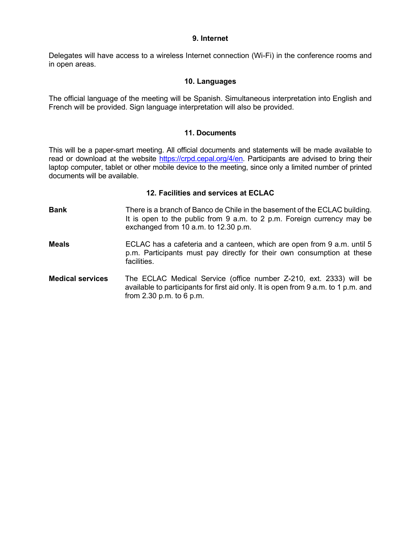#### **9. Internet**

Delegates will have access to a wireless Internet connection (Wi-Fi) in the conference rooms and in open areas.

#### **10. Languages**

The official language of the meeting will be Spanish. Simultaneous interpretation into English and French will be provided. Sign language interpretation will also be provided.

#### **11. Documents**

This will be a paper-smart meeting. All official documents and statements will be made available to read or download at the website [https://crpd.cepal.org/4/en.](https://crpd.cepal.org/4/en) Participants are advised to bring their laptop computer, tablet or other mobile device to the meeting, since only a limited number of printed documents will be available.

#### **12. Facilities and services at ECLAC**

- **Bank** There is a branch of Banco de Chile in the basement of the ECLAC building. It is open to the public from 9 a.m. to 2 p.m. Foreign currency may be exchanged from 10 a.m. to 12.30 p.m.
- **Meals** ECLAC has a cafeteria and a canteen, which are open from 9 a.m. until 5 p.m. Participants must pay directly for their own consumption at these facilities.
- **Medical services** The ECLAC Medical Service (office number Z-210, ext. 2333) will be available to participants for first aid only. It is open from 9 a.m. to 1 p.m. and from 2.30 p.m. to 6 p.m.